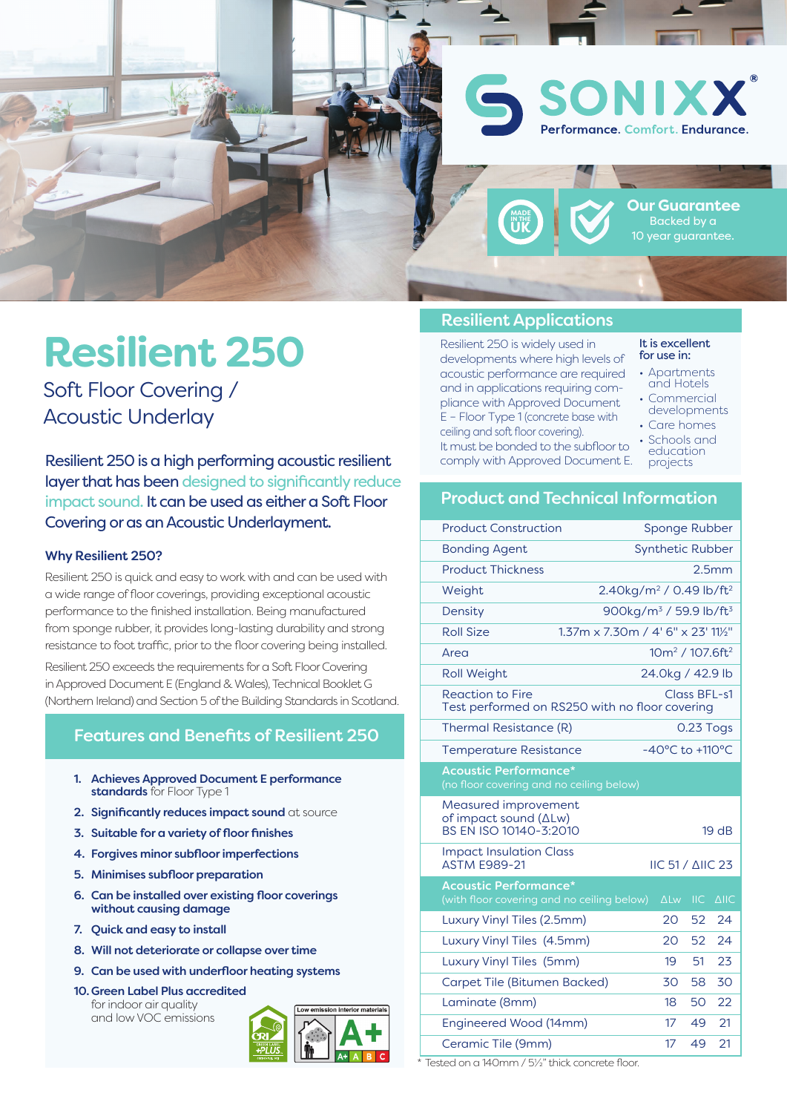

# **Resilient 250**

Soft Floor Covering / Acoustic Underlay

Resilient 250 is a high performing acoustic resilient layer that has been designed to significantly reduce impact sound. It can be used as either a Soft Floor Covering or as an Acoustic Underlayment.

#### Why Resilient 250?

Resilient 250 is quick and easy to work with and can be used with a wide range of floor coverings, providing exceptional acoustic performance to the finished installation. Being manufactured from sponge rubber, it provides long-lasting durability and strong resistance to foot traffic, prior to the floor covering being installed.

Resilient 250 exceeds the requirements for a Soft Floor Covering in Approved Document E (England & Wales), Technical Booklet G (Northern Ireland) and Section 5 of the Building Standards in Scotland.

## Features and Benefits of Resilient 250

- 1. Achieves Approved Document E performance standards for Floor Type 1
- 2. Significantly reduces impact sound at source
- 3. Suitable for a variety of floor finishes
- 4. Forgives minor subfloor imperfections
- 5. Minimises subfloor preparation
- 6. Can be installed over existing floor coverings without causing damage
- 7. Quick and easy to install
- 8. Will not deteriorate or collapse over time
- 9. Can be used with underfloor heating systems
- 10. Green Label Plus accredited for indoor air quality and low VOC emissions



#### Resilient Applications

Resilient 250 is widely used in developments where high levels of acoustic performance are required and in applications requiring compliance with Approved Document E – Floor Type 1 (concrete base with ceiling and soft floor covering). It must be bonded to the subfloor to comply with Approved Document E.

#### It is excellent for use in:

- Apartments and Hotels
- Commercial developments
- Care homes • Schools and
- education projects

#### Product and Technical Information

| <b>Product Construction</b>                                                               |                                                 |                 |                                         |                   |  |
|-------------------------------------------------------------------------------------------|-------------------------------------------------|-----------------|-----------------------------------------|-------------------|--|
|                                                                                           | Sponge Rubber                                   |                 |                                         |                   |  |
| <b>Synthetic Rubber</b><br><b>Bonding Agent</b>                                           |                                                 |                 |                                         |                   |  |
| <b>Product Thickness</b>                                                                  |                                                 |                 |                                         | 2.5 <sub>mm</sub> |  |
| Weight                                                                                    | 2.40kg/m <sup>2</sup> / 0.49 lb/ft <sup>2</sup> |                 |                                         |                   |  |
| Density                                                                                   | 900kg/m <sup>3</sup> / 59.9 lb/ft <sup>3</sup>  |                 |                                         |                   |  |
| <b>Roll Size</b>                                                                          | 1.37m x 7.30m / 4' 6" x 23' 111/2"              |                 |                                         |                   |  |
| Area                                                                                      |                                                 |                 | 10m <sup>2</sup> / 107.6ft <sup>2</sup> |                   |  |
| <b>Roll Weight</b>                                                                        | 24.0kg / 42.9 lb                                |                 |                                         |                   |  |
| <b>Reaction to Fire</b><br>Class BFL-s1<br>Test performed on RS250 with no floor covering |                                                 |                 |                                         |                   |  |
| Thermal Resistance (R)                                                                    |                                                 | 0.23 Togs       |                                         |                   |  |
| <b>Temperature Resistance</b>                                                             | -40°C to +110°C                                 |                 |                                         |                   |  |
| <b>Acoustic Performance*</b><br>(no floor covering and no ceiling below)                  |                                                 |                 |                                         |                   |  |
| Measured improvement<br>of impact sound (ΔLw)<br>BS EN ISO 10140-3:2010                   |                                                 |                 |                                         | 19 <sub>dB</sub>  |  |
| <b>Impact Insulation Class</b><br><b>ASTM E989-21</b>                                     |                                                 |                 | <b>IIC 51 / AIIC 23</b>                 |                   |  |
| <b>Acoustic Performance*</b><br>(with floor covering and no ceiling below)                |                                                 | $\Delta$ Lw     | <b>IIC</b>                              | $\triangle$ IIC   |  |
| Luxury Vinyl Tiles (2.5mm)                                                                |                                                 | 20              | 52                                      | 24                |  |
| Luxury Vinyl Tiles (4.5mm)                                                                |                                                 | 20 <sup>°</sup> | 52                                      | 24                |  |
| Luxury Vinyl Tiles (5mm)                                                                  |                                                 | 19              | 51                                      | 23                |  |
| Carpet Tile (Bitumen Backed)                                                              |                                                 | 30              | 58                                      | 30                |  |
| Laminate (8mm)                                                                            |                                                 | 18              | 50                                      | 22                |  |
| Engineered Wood (14mm)                                                                    |                                                 | $17 \,$         | 49                                      | 21                |  |
| Ceramic Tile (9mm)                                                                        |                                                 | 17              | 49                                      | 21                |  |
|                                                                                           |                                                 |                 |                                         |                   |  |

Tested on a 140mm / 5½" thick concrete floor.